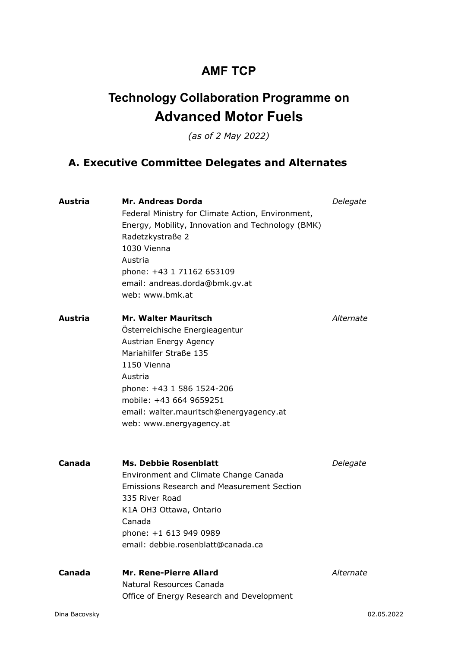## **AMF TCP**

# **Technology Collaboration Programme on Advanced Motor Fuels**

*(as of 2 May 2022)*

## **A. Executive Committee Delegates and Alternates**

| <b>Austria</b> | <b>Mr. Andreas Dorda</b><br>Federal Ministry for Climate Action, Environment,<br>Energy, Mobility, Innovation and Technology (BMK)<br>Radetzkystraße 2<br>1030 Vienna<br>Austria<br>phone: +43 1 71162 653109<br>email: andreas.dorda@bmk.gv.at<br>web: www.bmk.at         | Delegate   |
|----------------|----------------------------------------------------------------------------------------------------------------------------------------------------------------------------------------------------------------------------------------------------------------------------|------------|
| Austria        | <b>Mr. Walter Mauritsch</b><br>Österreichische Energieagentur<br>Austrian Energy Agency<br>Mariahilfer Straße 135<br>1150 Vienna<br>Austria<br>phone: +43 1 586 1524-206<br>mobile: +43 664 9659251<br>email: walter.mauritsch@energyagency.at<br>web: www.energyagency.at | Alternate  |
| Canada         | <b>Ms. Debbie Rosenblatt</b><br>Environment and Climate Change Canada<br><b>Emissions Research and Measurement Section</b><br>335 River Road<br>K1A OH3 Ottawa, Ontario<br>Canada<br>phone: +1 613 949 0989<br>email: debbie.rosenblatt@canada.ca                          | Delegate   |
| Canada         | <b>Mr. Rene-Pierre Allard</b><br>Natural Resources Canada<br>Office of Energy Research and Development                                                                                                                                                                     | Alternate  |
| Dina Bacovsky  |                                                                                                                                                                                                                                                                            | 02.05.2022 |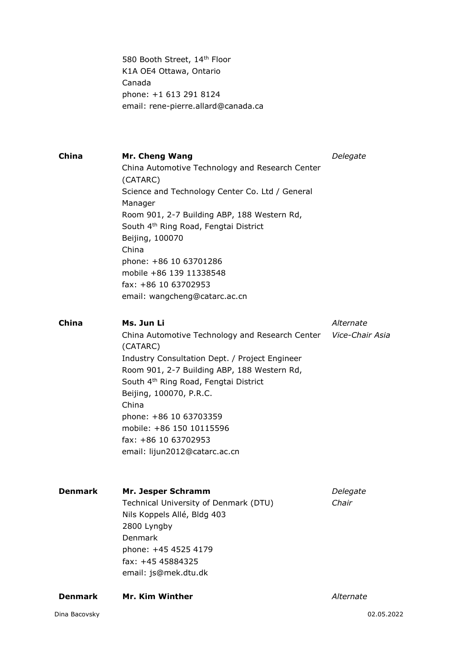580 Booth Street, 14<sup>th</sup> Floor K1A OE4 Ottawa, Ontario Canada phone: +1 613 291 8124 email: rene-pierre.allard@canada.ca

| China          | <b>Mr. Cheng Wang</b><br>China Automotive Technology and Research Center<br>(CATARC)<br>Science and Technology Center Co. Ltd / General<br>Manager<br>Room 901, 2-7 Building ABP, 188 Western Rd,<br>South 4 <sup>th</sup> Ring Road, Fengtai District<br>Beijing, 100070<br>China<br>phone: +86 10 63701286<br>mobile +86 139 11338548<br>fax: +86 10 63702953<br>email: wangcheng@catarc.ac.cn   | Delegate          |
|----------------|----------------------------------------------------------------------------------------------------------------------------------------------------------------------------------------------------------------------------------------------------------------------------------------------------------------------------------------------------------------------------------------------------|-------------------|
| <b>China</b>   | Ms. Jun Li<br>China Automotive Technology and Research Center Vice-Chair Asia<br>(CATARC)<br>Industry Consultation Dept. / Project Engineer<br>Room 901, 2-7 Building ABP, 188 Western Rd,<br>South 4 <sup>th</sup> Ring Road, Fengtai District<br>Beijing, 100070, P.R.C.<br>China<br>phone: +86 10 63703359<br>mobile: +86 150 10115596<br>fax: +86 10 63702953<br>email: lijun2012@catarc.ac.cn | Alternate         |
| <b>Denmark</b> | Mr. Jesper Schramm<br>Technical University of Denmark (DTU)<br>Nils Koppels Allé, Bldg 403<br>2800 Lyngby<br>Denmark<br>phone: +45 4525 4179<br>fax: +45 45884325<br>email: js@mek.dtu.dk                                                                                                                                                                                                          | Delegate<br>Chair |
| <b>Denmark</b> | Mr. Kim Winther                                                                                                                                                                                                                                                                                                                                                                                    | Alternate         |
| Dina Bacovsky  |                                                                                                                                                                                                                                                                                                                                                                                                    | 02.05.2022        |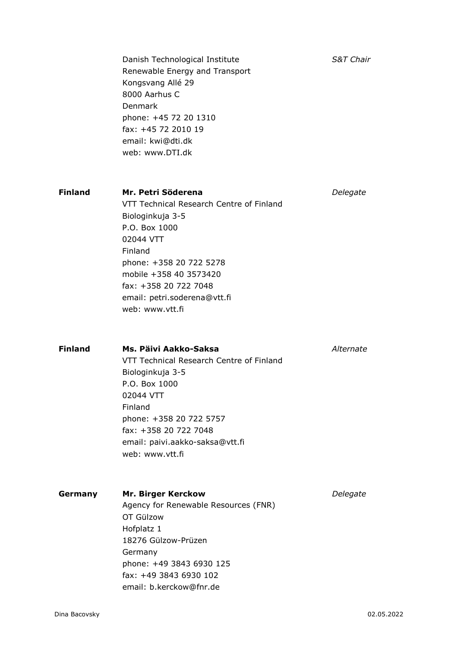|                | Danish Technological Institute<br>Renewable Energy and Transport<br>Kongsvang Allé 29<br>8000 Aarhus C<br>Denmark<br>phone: +45 72 20 1310<br>fax: +45 72 2010 19<br>email: kwi@dti.dk<br>web: www.DTI.dk                                                    | <b>S&amp;T Chair</b> |
|----------------|--------------------------------------------------------------------------------------------------------------------------------------------------------------------------------------------------------------------------------------------------------------|----------------------|
| <b>Finland</b> | Mr. Petri Söderena<br>VTT Technical Research Centre of Finland<br>Biologinkuja 3-5<br>P.O. Box 1000<br>02044 VTT<br>Finland<br>phone: +358 20 722 5278<br>mobile +358 40 3573420<br>fax: +358 20 722 7048<br>email: petri.soderena@vtt.fi<br>web: www.ytt.fi | Delegate             |
| <b>Finland</b> | Ms. Päivi Aakko-Saksa<br>VTT Technical Research Centre of Finland<br>Biologinkuja 3-5<br>P.O. Box 1000<br>02044 VTT<br>Finland<br>phone: +358 20 722 5757<br>fax: +358 20 722 7048<br>email: paivi.aakko-saksa@vtt.fi<br>web: www.vtt.fi                     | Alternate            |
| Germany        | <b>Mr. Birger Kerckow</b><br>Agency for Renewable Resources (FNR)<br>OT Gülzow<br>Hofplatz 1<br>18276 Gülzow-Prüzen<br>Germany<br>phone: +49 3843 6930 125<br>fax: +49 3843 6930 102<br>email: b.kerckow@fnr.de                                              | Delegate             |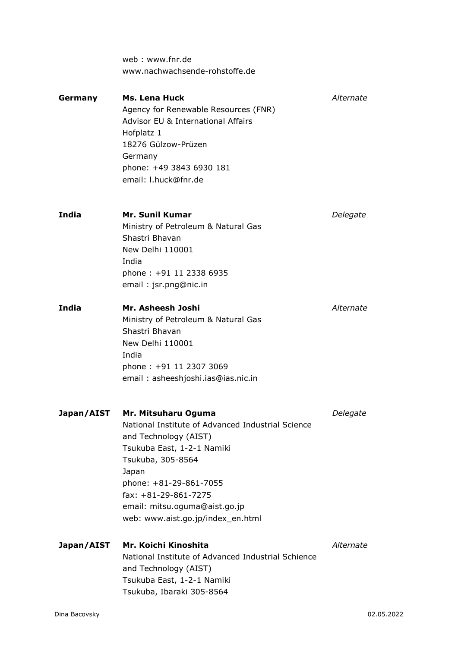web : www.fnr.de www.nachwachsende-rohstoffe.de **Germany Ms. Lena Huck** *Alternate* Agency for Renewable Resources (FNR) Advisor EU & International Affairs Hofplatz 1 18276 Gülzow-Prüzen Germany phone: +49 3843 6930 181 email: l.huck@fnr.de **India Mr. Sunil Kumar** *Delegate* Ministry of Petroleum & Natural Gas Shastri Bhavan New Delhi 110001 India phone : +91 11 2338 6935 email : jsr.png@nic.in **India Mr. Asheesh Joshi** *Alternate* Ministry of Petroleum & Natural Gas Shastri Bhavan New Delhi 110001 India phone : +91 11 2307 3069 email : asheeshjoshi.ias@ias.nic.in **Japan/AIST Mr. Mitsuharu Oguma** *Delegate* National Institute of Advanced Industrial Science and Technology (AIST) Tsukuba East, 1-2-1 Namiki Tsukuba, 305-8564 Japan phone: +81-29-861-7055 fax: +81-29-861-7275 email: mitsu.oguma@aist.go.jp web: www.aist.go.jp/index\_en.html **Japan/AIST Mr. Koichi Kinoshita** *Alternate* National Institute of Advanced Industrial Schience and Technology (AIST) Tsukuba East, 1-2-1 Namiki Tsukuba, Ibaraki 305-8564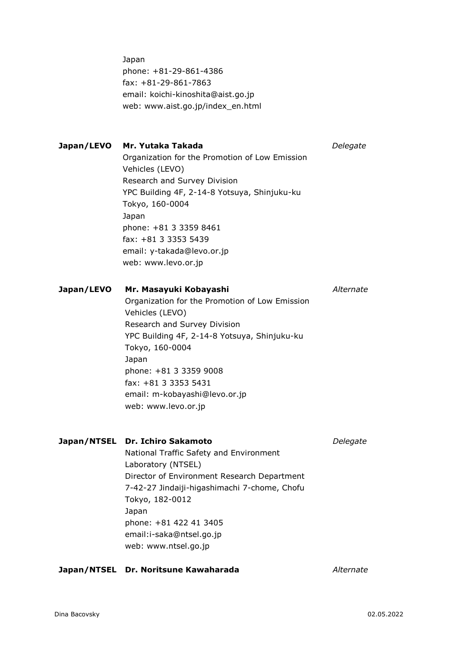phone: +81-29-861-4386 fax: +81-29-861-7863 email: koichi-kinoshita@aist.go.jp web: www.aist.go.jp/index\_en.html

#### **Japan/LEVO Mr. Yutaka Takada** *Delegate*

Organization for the Promotion of Low Emission Vehicles (LEVO) Research and Survey Division YPC Building 4F, 2-14-8 Yotsuya, Shinjuku-ku Tokyo, 160-0004 Japan phone: +81 3 3359 8461 fax: +81 3 3353 5439 email: y-takada@levo.or.jp web: www.levo.or.jp

#### **Japan/LEVO Mr. Masayuki Kobayashi** *Alternate*

Organization for the Promotion of Low Emission Vehicles (LEVO) Research and Survey Division YPC Building 4F, 2-14-8 Yotsuya, Shinjuku-ku Tokyo, 160-0004 Japan phone: +81 3 3359 9008 fax: +81 3 3353 5431 email: m-kobayashi@levo.or.jp web: www.levo.or.jp

#### **Japan/NTSEL Dr. Ichiro Sakamoto** *Delegate*

National Traffic Safety and Environment Laboratory (NTSEL) Director of Environment Research Department 7-42-27 Jindaiji-higashimachi 7-chome, Chofu Tokyo, 182-0012 Japan phone: +81 422 41 3405 email:i-saka@ntsel.go.jp web: www.ntsel.go.jp

#### **Japan/NTSEL Dr. Noritsune Kawaharada** *Alternate*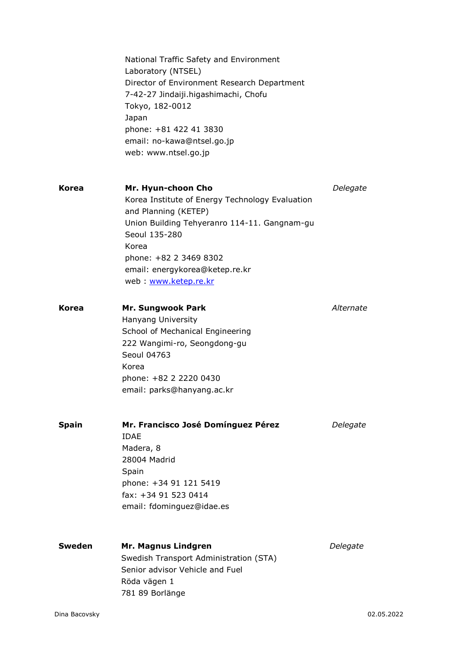|        | National Traffic Safety and Environment<br>Laboratory (NTSEL)<br>Director of Environment Research Department<br>7-42-27 Jindaiji.higashimachi, Chofu<br>Tokyo, 182-0012<br>Japan<br>phone: +81 422 41 3830<br>email: no-kawa@ntsel.go.jp<br>web: www.ntsel.go.jp |           |
|--------|------------------------------------------------------------------------------------------------------------------------------------------------------------------------------------------------------------------------------------------------------------------|-----------|
| Korea  | Mr. Hyun-choon Cho<br>Korea Institute of Energy Technology Evaluation<br>and Planning (KETEP)<br>Union Building Tehyeranro 114-11. Gangnam-gu<br>Seoul 135-280<br>Korea<br>phone: +82 2 3469 8302<br>email: energykorea@ketep.re.kr<br>web: www.ketep.re.kr      | Delegate  |
| Korea  | <b>Mr. Sungwook Park</b><br>Hanyang University<br>School of Mechanical Engineering<br>222 Wangimi-ro, Seongdong-gu<br>Seoul 04763<br>Korea<br>phone: +82 2 2220 0430<br>email: parks@hanyang.ac.kr                                                               | Alternate |
| Spain  | Mr. Francisco José Domínguez Pérez<br><b>IDAE</b><br>Madera, 8<br>28004 Madrid<br>Spain<br>phone: +34 91 121 5419<br>fax: +34 91 523 0414<br>email: fdominguez@idae.es                                                                                           | Delegate  |
| Sweden | Mr. Magnus Lindgren<br>Swedish Transport Administration (STA)<br>Senior advisor Vehicle and Fuel<br>Röda vägen 1<br>781 89 Borlänge                                                                                                                              | Delegate  |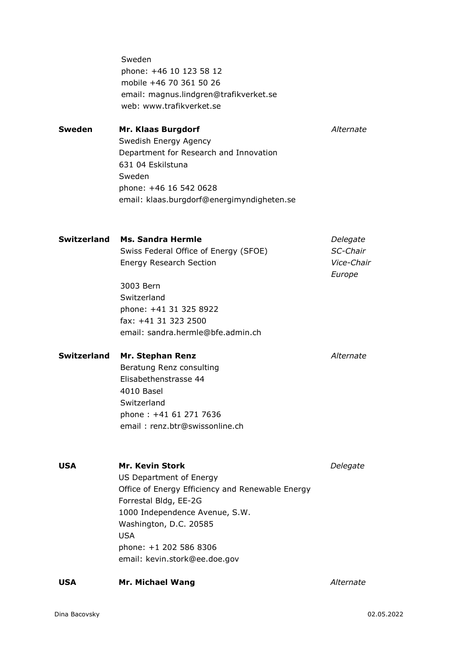Sweden phone: +46 10 123 58 12 mobile +46 70 361 50 26 email: magnus.lindgren@trafikverket.se web: www.trafikverket.se

**Sweden Mr. Klaas Burgdorf** *Alternate* Swedish Energy Agency Department for Research and Innovation 631 04 Eskilstuna Sweden phone: +46 16 542 0628 email: klaas.burgdorf@energimyndigheten.se

| Switzerland | Ms. Sandra Hermle                     | Delegate          |
|-------------|---------------------------------------|-------------------|
|             | Swiss Federal Office of Energy (SFOE) | SC-Chair          |
|             | <b>Energy Research Section</b>        | <i>Vice-Chair</i> |
|             |                                       | Europe            |

3003 Bern **Switzerland** phone: +41 31 325 8922 fax: +41 31 323 2500 email: sandra.hermle@bfe.admin.ch

#### **Switzerland Mr. Stephan Renz** *Alternate*

Beratung Renz consulting Elisabethenstrasse 44 4010 Basel Switzerland phone : +41 61 271 7636 email : renz.btr@swissonline.ch

**USA Mr. Kevin Stork** *Delegate* US Department of Energy Office of Energy Efficiency and Renewable Energy Forrestal Bldg, EE-2G 1000 Independence Avenue, S.W. Washington, D.C. 20585 USA phone: +1 202 586 8306 email: kevin.stork@ee.doe.gov

#### **USA Mr. Michael Wang** *Alternate*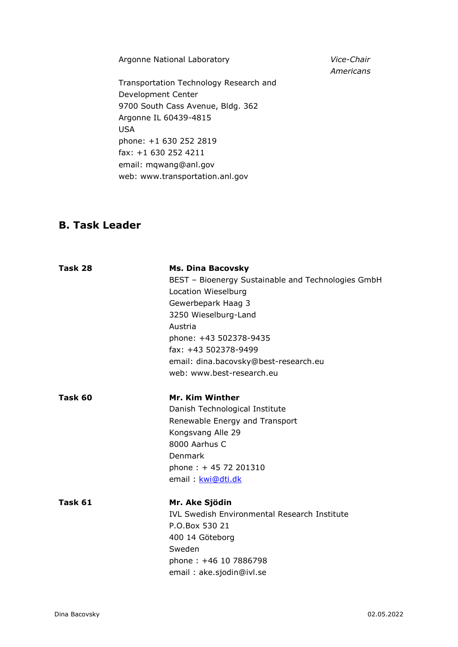Argonne National Laboratory *Vice-Chair* 

Transportation Technology Research and Development Center 9700 South Cass Avenue, Bldg. 362 Argonne IL 60439-4815 USA phone: +1 630 252 2819 fax: +1 630 252 4211 email: mqwang@anl.gov web: www.transportation.anl.gov

### **B. Task Leader**

| Task 28 | <b>Ms. Dina Bacovsky</b>                            |
|---------|-----------------------------------------------------|
|         | BEST - Bioenergy Sustainable and Technologies GmbH  |
|         | Location Wieselburg                                 |
|         | Gewerbepark Haag 3                                  |
|         | 3250 Wieselburg-Land                                |
|         | Austria                                             |
|         | phone: +43 502378-9435                              |
|         | fax: +43 502378-9499                                |
|         | email: dina.bacovsky@best-research.eu               |
|         | web: www.best-research.eu                           |
| Task 60 | <b>Mr. Kim Winther</b>                              |
|         | Danish Technological Institute                      |
|         | Renewable Energy and Transport                      |
|         | Kongsvang Alle 29                                   |
|         | 8000 Aarhus C                                       |
|         | Denmark                                             |
|         | phone: +45 72 201310                                |
|         | email: kwi@dti.dk                                   |
| Task 61 | Mr. Ake Sjödin                                      |
|         | <b>IVL Swedish Environmental Research Institute</b> |
|         | P.O.Box 530 21                                      |
|         | 400 14 Göteborg                                     |
|         | Sweden                                              |
|         | phone: +46 10 7886798                               |
|         | email: ake.sjodin@ivl.se                            |

*Americans*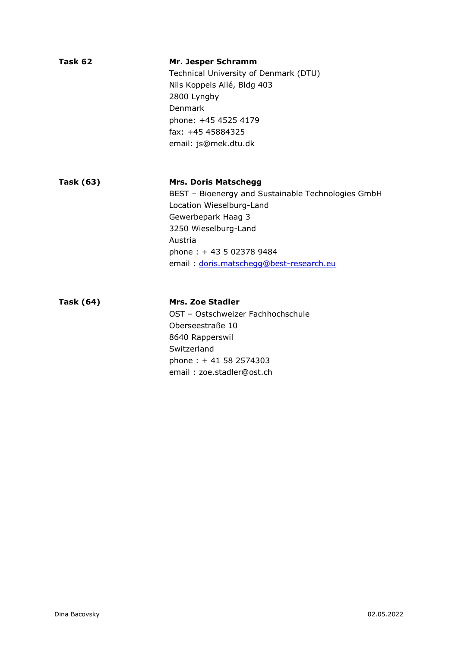| Task 62          | Mr. Jesper Schramm<br>Technical University of Denmark (DTU)<br>Nils Koppels Allé, Bldg 403<br>2800 Lyngby<br>Denmark<br>phone: +45 4525 4179<br>fax: +45 45884325<br>email: js@mek.dtu.dk                                                    |
|------------------|----------------------------------------------------------------------------------------------------------------------------------------------------------------------------------------------------------------------------------------------|
| <b>Task (63)</b> | <b>Mrs. Doris Matschegg</b><br>BEST - Bioenergy and Sustainable Technologies GmbH<br>Location Wieselburg-Land<br>Gewerbepark Haag 3<br>3250 Wieselburg-Land<br>Austria<br>phone: $+435023789484$<br>email : doris.matscheqq@best-research.eu |
| <b>Task (64)</b> | <b>Mrs. Zoe Stadler</b><br>OST - Ostschweizer Fachhochschule<br>Oberseestraße 10<br>8640 Rapperswil<br>Switzerland<br>phone: +41 58 2574303<br>email: zoe.stadler@ost.ch                                                                     |